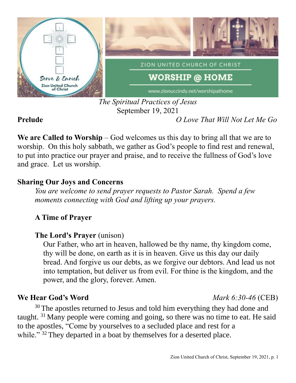

## *The Spiritual Practices of Jesus* September 19, 2021

**Prelude** *O Love That Will Not Let Me Go*

**We are Called to Worship** – God welcomes us this day to bring all that we are to worship. On this holy sabbath, we gather as God's people to find rest and renewal, to put into practice our prayer and praise, and to receive the fullness of God's love and grace. Let us worship.

## **Sharing Our Joys and Concerns**

*You are welcome to send prayer requests to Pastor Sarah. Spend a few moments connecting with God and lifting up your prayers.*

# **A Time of Prayer**

## **The Lord's Prayer** (unison)

Our Father, who art in heaven, hallowed be thy name, thy kingdom come, thy will be done, on earth as it is in heaven. Give us this day our daily bread. And forgive us our debts, as we forgive our debtors. And lead us not into temptation, but deliver us from evil. For thine is the kingdom, and the power, and the glory, forever. Amen.

# **We Hear God's Word** *Mark 6:30-46* (CEB)

<sup>30</sup> The apostles returned to Jesus and told him everything they had done and taught. <sup>31</sup> Many people were coming and going, so there was no time to eat. He said to the apostles, "Come by yourselves to a secluded place and rest for a while."<sup>32</sup> They departed in a boat by themselves for a deserted place.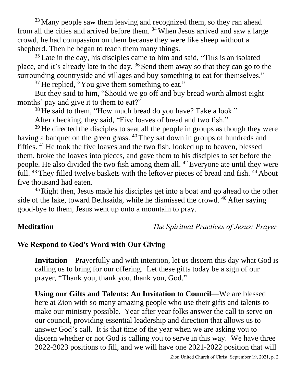<sup>33</sup> Many people saw them leaving and recognized them, so they ran ahead from all the cities and arrived before them. <sup>34</sup> When Jesus arrived and saw a large crowd, he had compassion on them because they were like sheep without a shepherd. Then he began to teach them many things.

<sup>35</sup> Late in the day, his disciples came to him and said, "This is an isolated place, and it's already late in the day. <sup>36</sup> Send them away so that they can go to the surrounding countryside and villages and buy something to eat for themselves."

<sup>37</sup> He replied, "You give them something to eat."

But they said to him, "Should we go off and buy bread worth almost eight months' pay and give it to them to eat?"

<sup>38</sup> He said to them, "How much bread do you have? Take a look."

After checking, they said, "Five loaves of bread and two fish."

 $39$  He directed the disciples to seat all the people in groups as though they were having a banquet on the green grass. <sup>40</sup> They sat down in groups of hundreds and fifties. <sup>41</sup> He took the five loaves and the two fish, looked up to heaven, blessed them, broke the loaves into pieces, and gave them to his disciples to set before the people. He also divided the two fish among them all. <sup>42</sup> Everyone ate until they were full. <sup>43</sup> They filled twelve baskets with the leftover pieces of bread and fish. <sup>44</sup> About five thousand had eaten.

<sup>45</sup> Right then, Jesus made his disciples get into a boat and go ahead to the other side of the lake, toward Bethsaida, while he dismissed the crowd. <sup>46</sup> After saying good-bye to them, Jesus went up onto a mountain to pray.

**Meditation** *The Spiritual Practices of Jesus: Prayer*

## **We Respond to God's Word with Our Giving**

**Invitation—**Prayerfully and with intention, let us discern this day what God is calling us to bring for our offering. Let these gifts today be a sign of our prayer, "Thank you, thank you, thank you, God."

**Using our Gifts and Talents: An Invitation to Council**—We are blessed here at Zion with so many amazing people who use their gifts and talents to make our ministry possible. Year after year folks answer the call to serve on our council, providing essential leadership and direction that allows us to answer God's call. It is that time of the year when we are asking you to discern whether or not God is calling you to serve in this way. We have three 2022-2023 positions to fill, and we will have one 2021-2022 position that will